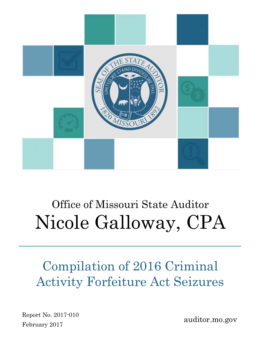

# Office of Missouri State Auditor Nicole Galloway, CPA

## Compilation of 2016 Criminal Activity Forfeiture Act Seizures

Report No. 2017-010 February 2017

auditor.mo.gov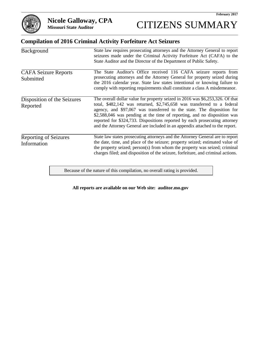

#### **Compilation of 2016 Criminal Activity Forfeiture Act Seizures**

| <b>Background</b>                           | State law requires prosecuting attorneys and the Attorney General to report<br>seizures made under the Criminal Activity Forfeiture Act (CAFA) to the<br>State Auditor and the Director of the Department of Public Safety.                                                                                                                                                                                                                                                  |
|---------------------------------------------|------------------------------------------------------------------------------------------------------------------------------------------------------------------------------------------------------------------------------------------------------------------------------------------------------------------------------------------------------------------------------------------------------------------------------------------------------------------------------|
| <b>CAFA Seizure Reports</b><br>Submitted    | The State Auditor's Office received 116 CAFA seizure reports from<br>prosecuting attorneys and the Attorney General for property seized during<br>the 2016 calendar year. State law states intentional or knowing failure to<br>comply with reporting requirements shall constitute a class A misdemeanor.                                                                                                                                                                   |
| Disposition of the Seizures<br>Reported     | The overall dollar value for property seized in 2016 was \$6,253,326. Of that<br>total, \$482,142 was returned, \$2,745,658 was transferred to a federal<br>agency, and \$97,067 was transferred to the state. The disposition for<br>\$2,588,046 was pending at the time of reporting, and no disposition was<br>reported for \$324,733. Dispositions reported by each prosecuting attorney<br>and the Attorney General are included in an appendix attached to the report. |
| <b>Reporting of Seizures</b><br>Information | State law states prosecuting attorneys and the Attorney General are to report<br>the date, time, and place of the seizure; property seized; estimated value of<br>the property seized; person(s) from whom the property was seized; criminal<br>charges filed; and disposition of the seizure, forfeiture, and criminal actions.                                                                                                                                             |

Because of the nature of this compilation, no overall rating is provided.

**All reports are available on our Web site: auditor.mo.gov**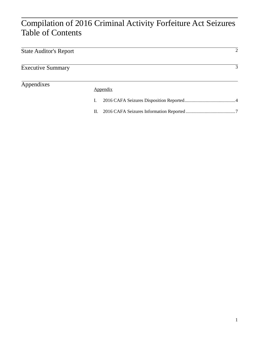## Compilation of 2016 Criminal Activity Forfeiture Act Seizures Table of Contents

| <b>State Auditor's Report</b> |          |   |
|-------------------------------|----------|---|
| <b>Executive Summary</b>      |          | 3 |
| Appendixes                    | Appendix |   |
|                               | I.       |   |
|                               |          |   |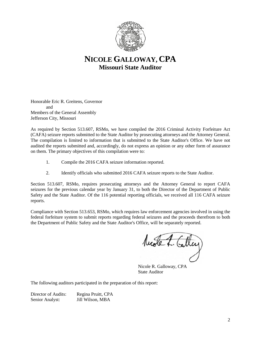

#### **NICOLE GALLOWAY, CPA Missouri State Auditor**

Honorable Eric R. Greitens, Governor and Members of the General Assembly Jefferson City, Missouri

As required by Section 513.607, RSMo, we have compiled the 2016 Criminal Activity Forfeiture Act (CAFA) seizure reports submitted to the State Auditor by prosecuting attorneys and the Attorney General. The compilation is limited to information that is submitted to the State Auditor's Office. We have not audited the reports submitted and, accordingly, do not express an opinion or any other form of assurance on them. The primary objectives of this compilation were to:

- 1. Compile the 2016 CAFA seizure information reported.
- 2. Identify officials who submitted 2016 CAFA seizure reports to the State Auditor.

Section 513.607, RSMo, requires prosecuting attorneys and the Attorney General to report CAFA seizures for the previous calendar year by January 31, to both the Director of the Department of Public Safety and the State Auditor. Of the 116 potential reporting officials, we received all 116 CAFA seizure reports.

Compliance with Section 513.653, RSMo, which requires law enforcement agencies involved in using the federal forfeiture system to submit reports regarding federal seizures and the proceeds therefrom to both the Department of Public Safety and the State Auditor's Office, will be separately reported.

Neede L. Calley

 Nicole R. Galloway, CPA State Auditor

The following auditors participated in the preparation of this report:

Director of Audits: Regina Pruitt, CPA Senior Analyst: Jill Wilson, MBA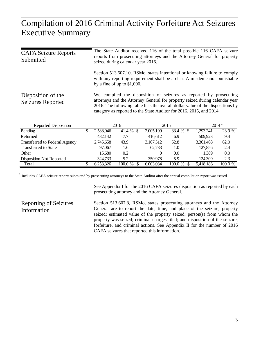### Compilation of 2016 Criminal Activity Forfeiture Act Seizures Executive Summary

| <b>CAFA Seizure Reports</b><br>Submitted                                                                                                                                               |    | The State Auditor received 116 of the total possible 116 CAFA seizure<br>reports from prosecuting attorneys and the Attorney General for property<br>seized during calendar year 2016.                                                                                                                      |                |           |               |           |                   |  |  |  |  |  |
|----------------------------------------------------------------------------------------------------------------------------------------------------------------------------------------|----|-------------------------------------------------------------------------------------------------------------------------------------------------------------------------------------------------------------------------------------------------------------------------------------------------------------|----------------|-----------|---------------|-----------|-------------------|--|--|--|--|--|
| Section 513.607.10, RSMo, states intentional or knowing failure to comply<br>with any reporting requirement shall be a class A misdemeanor punishable<br>by a fine of up to $$1,000$ . |    |                                                                                                                                                                                                                                                                                                             |                |           |               |           |                   |  |  |  |  |  |
| Disposition of the<br><b>Seizures Reported</b>                                                                                                                                         |    | We compiled the disposition of seizures as reported by prosecuting<br>attorneys and the Attorney General for property seized during calendar year<br>2016. The following table lists the overall dollar value of the dispositions by<br>category as reported to the State Auditor for 2016, 2015, and 2014. |                |           |               |           |                   |  |  |  |  |  |
| <b>Reported Disposition</b>                                                                                                                                                            |    |                                                                                                                                                                                                                                                                                                             | 2016           |           | 2015          |           | 2014 <sup>1</sup> |  |  |  |  |  |
| Pending                                                                                                                                                                                | \$ | 2,588,046                                                                                                                                                                                                                                                                                                   | 41.4 $%$ \$    | 2,005,199 | 33.4 % \$     | 1,293,241 | 23.9 %            |  |  |  |  |  |
| Returned                                                                                                                                                                               |    | 482,142                                                                                                                                                                                                                                                                                                     | 7.7            | 416,612   | 6.9           | 509,923   | 9.4               |  |  |  |  |  |
| <b>Transferred to Federal Agency</b>                                                                                                                                                   |    | 2,745,658                                                                                                                                                                                                                                                                                                   | 43.9           | 3,167,512 | 52.8          | 3,361,468 | 62.0              |  |  |  |  |  |
| <b>Transferred to State</b>                                                                                                                                                            |    | 97,067                                                                                                                                                                                                                                                                                                      | 1.6            | 62,733    | 1.0           | 127,856   | 2.4               |  |  |  |  |  |
| Other                                                                                                                                                                                  |    | 15,680                                                                                                                                                                                                                                                                                                      | 0.2            | $\Omega$  | 0.0           | 1,389     | 0.0               |  |  |  |  |  |
| <b>Disposition Not Reported</b>                                                                                                                                                        |    | 324,733                                                                                                                                                                                                                                                                                                     | 5.2            | 350,978   | 5.9           | 124,309   | 2.3               |  |  |  |  |  |
| Total                                                                                                                                                                                  | \$ | 6,253,326                                                                                                                                                                                                                                                                                                   | 100.0 %<br>\$. | 6,003,034 | 100.0%<br>\$. | 5,418,186 | 100.0 %           |  |  |  |  |  |

<sup>1</sup> Includes CAFA seizure reports submitted by prosecuting attorneys to the State Auditor after the annual compilation report was issued.

See Appendix I for the 2016 CAFA seizures disposition as reported by each prosecuting attorney and the Attorney General.

Reporting of Seizures Information

Section 513.607.8, RSMo, states prosecuting attorneys and the Attorney General are to report the date, time, and place of the seizure; property seized; estimated value of the property seized; person(s) from whom the property was seized; criminal charges filed; and disposition of the seizure, forfeiture, and criminal actions. See Appendix II for the number of 2016 CAFA seizures that reported this information.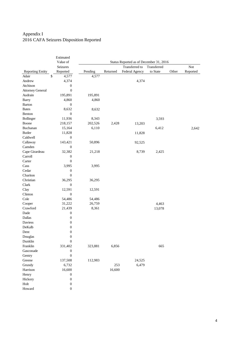#### Appendix I 2016 CAFA Seizures Disposition Reported

|                         | Estimated<br>Value of | Status Reported as of December 31, 2016 |          |                                      |          |       |          |  |  |  |  |  |
|-------------------------|-----------------------|-----------------------------------------|----------|--------------------------------------|----------|-------|----------|--|--|--|--|--|
|                         | Seizures              |                                         |          | Transferred to<br>Not<br>Transferred |          |       |          |  |  |  |  |  |
| <b>Reporting Entity</b> | Reported              | Pending                                 | Returned | Federal Agency                       | to State | Other | Reported |  |  |  |  |  |
| Adair                   | 4,577<br>\$           | 4,577                                   |          |                                      |          |       |          |  |  |  |  |  |
| Andrew                  | 4,374                 |                                         |          | 4,374                                |          |       |          |  |  |  |  |  |
| Atchison                | $\boldsymbol{0}$      |                                         |          |                                      |          |       |          |  |  |  |  |  |
| <b>Attorney General</b> | $\boldsymbol{0}$      |                                         |          |                                      |          |       |          |  |  |  |  |  |
| Audrain                 | 195,891               | 195,891                                 |          |                                      |          |       |          |  |  |  |  |  |
| <b>Barry</b>            | 4,860                 | 4,860                                   |          |                                      |          |       |          |  |  |  |  |  |
| <b>Barton</b>           | $\boldsymbol{0}$      |                                         |          |                                      |          |       |          |  |  |  |  |  |
| <b>Bates</b>            | 8,632                 | 8,632                                   |          |                                      |          |       |          |  |  |  |  |  |
| Benton                  | $\boldsymbol{0}$      |                                         |          |                                      |          |       |          |  |  |  |  |  |
| Bollinger               | 11,936                | 8,343                                   |          |                                      | 3,593    |       |          |  |  |  |  |  |
| Boone                   | 218,157               | 202,526                                 | 2,428    | 13,203                               |          |       |          |  |  |  |  |  |
| Buchanan                | 15,164                | 6,110                                   |          |                                      | 6,412    |       | 2,642    |  |  |  |  |  |
| <b>Butler</b>           | 11,828                |                                         |          | 11,828                               |          |       |          |  |  |  |  |  |
| Caldwell                | $\boldsymbol{0}$      |                                         |          |                                      |          |       |          |  |  |  |  |  |
| Callaway                | 143,421               | 50,896                                  |          | 92,525                               |          |       |          |  |  |  |  |  |
| Camden                  | $\boldsymbol{0}$      |                                         |          |                                      |          |       |          |  |  |  |  |  |
| Cape Girardeau          | 32,382                | 21,218                                  |          | 8,739                                | 2,425    |       |          |  |  |  |  |  |
| Carroll                 | 0                     |                                         |          |                                      |          |       |          |  |  |  |  |  |
| Carter                  | $\mathbf{0}$          |                                         |          |                                      |          |       |          |  |  |  |  |  |
| Cass                    | 3,995                 | 3,995                                   |          |                                      |          |       |          |  |  |  |  |  |
| Cedar                   | $\boldsymbol{0}$      |                                         |          |                                      |          |       |          |  |  |  |  |  |
| Chariton                | $\boldsymbol{0}$      |                                         |          |                                      |          |       |          |  |  |  |  |  |
| Christian               | 36,295                | 36,295                                  |          |                                      |          |       |          |  |  |  |  |  |
| Clark                   | $\boldsymbol{0}$      |                                         |          |                                      |          |       |          |  |  |  |  |  |
| Clay                    | 12,591                | 12,591                                  |          |                                      |          |       |          |  |  |  |  |  |
| Clinton                 | $\boldsymbol{0}$      |                                         |          |                                      |          |       |          |  |  |  |  |  |
| Cole                    | 54,486                | 54,486                                  |          |                                      |          |       |          |  |  |  |  |  |
| Cooper                  | 31,222                | 26,759                                  |          |                                      | 4,463    |       |          |  |  |  |  |  |
| Crawford                | 21,439                | 8,361                                   |          |                                      | 13,078   |       |          |  |  |  |  |  |
| Dade                    | $\boldsymbol{0}$      |                                         |          |                                      |          |       |          |  |  |  |  |  |
| Dallas                  | $\boldsymbol{0}$      |                                         |          |                                      |          |       |          |  |  |  |  |  |
| Daviess                 | $\boldsymbol{0}$      |                                         |          |                                      |          |       |          |  |  |  |  |  |
| DeKalb                  | $\boldsymbol{0}$      |                                         |          |                                      |          |       |          |  |  |  |  |  |
| Dent                    | $\boldsymbol{0}$      |                                         |          |                                      |          |       |          |  |  |  |  |  |
| Douglas                 | $\boldsymbol{0}$      |                                         |          |                                      |          |       |          |  |  |  |  |  |
| Dunklin                 | $\boldsymbol{0}$      |                                         |          |                                      |          |       |          |  |  |  |  |  |
| Franklin                | 331,402               | 323,881                                 | 6,856    |                                      | 665      |       |          |  |  |  |  |  |
| Gasconade               | $\boldsymbol{0}$      |                                         |          |                                      |          |       |          |  |  |  |  |  |
| Gentry                  | $\boldsymbol{0}$      |                                         |          |                                      |          |       |          |  |  |  |  |  |
| Greene                  | 137,508               | 112,983                                 |          | 24,525                               |          |       |          |  |  |  |  |  |
| Grundy                  | 6,732                 |                                         | 253      | 6,479                                |          |       |          |  |  |  |  |  |
| Harrison                | 16,600                |                                         | 16,600   |                                      |          |       |          |  |  |  |  |  |
| Henry                   | $\boldsymbol{0}$      |                                         |          |                                      |          |       |          |  |  |  |  |  |
| Hickory                 | $\boldsymbol{0}$      |                                         |          |                                      |          |       |          |  |  |  |  |  |
| Holt                    | $\boldsymbol{0}$      |                                         |          |                                      |          |       |          |  |  |  |  |  |
| Howard                  | $\boldsymbol{0}$      |                                         |          |                                      |          |       |          |  |  |  |  |  |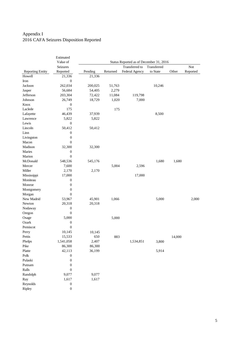#### Appendix I 2016 CAFA Seizures Disposition Reported

|                         | Estimated<br>Value of | Status Reported as of December 31, 2016 |          |                |             |        |          |  |  |  |  |  |
|-------------------------|-----------------------|-----------------------------------------|----------|----------------|-------------|--------|----------|--|--|--|--|--|
|                         | Seizures              |                                         |          | Transferred to | Transferred |        | Not      |  |  |  |  |  |
| <b>Reporting Entity</b> | Reported              | Pending                                 | Returned | Federal Agency | to State    | Other  | Reported |  |  |  |  |  |
| Howell                  | 21,336                | 21,336                                  |          |                |             |        |          |  |  |  |  |  |
| Iron                    | $\boldsymbol{0}$      |                                         |          |                |             |        |          |  |  |  |  |  |
| Jackson                 | 262,034               | 200,025                                 | 51,763   |                | 10,246      |        |          |  |  |  |  |  |
| Jasper                  | 56,684                | 54,405                                  | 2,279    |                |             |        |          |  |  |  |  |  |
| Jefferson               | 203,304               | 72,422                                  | 11,084   | 119,798        |             |        |          |  |  |  |  |  |
| Johnson                 | 26,749                | 18,729                                  | 1,020    | 7,000          |             |        |          |  |  |  |  |  |
| Knox                    | $\boldsymbol{0}$      |                                         |          |                |             |        |          |  |  |  |  |  |
| Laclede                 | 175                   |                                         | 175      |                |             |        |          |  |  |  |  |  |
| Lafayette               | 46,439                | 37,939                                  |          |                | 8,500       |        |          |  |  |  |  |  |
| Lawrence                | 5,822                 | 5,822                                   |          |                |             |        |          |  |  |  |  |  |
| Lewis                   | $\boldsymbol{0}$      |                                         |          |                |             |        |          |  |  |  |  |  |
| Lincoln                 | 50,412                | 50,412                                  |          |                |             |        |          |  |  |  |  |  |
| Linn                    | $\boldsymbol{0}$      |                                         |          |                |             |        |          |  |  |  |  |  |
| Livingston              | $\boldsymbol{0}$      |                                         |          |                |             |        |          |  |  |  |  |  |
| Macon                   | $\boldsymbol{0}$      |                                         |          |                |             |        |          |  |  |  |  |  |
| Madison                 | 32,300                | 32,300                                  |          |                |             |        |          |  |  |  |  |  |
| Maries                  | $\boldsymbol{0}$      |                                         |          |                |             |        |          |  |  |  |  |  |
| Marion                  | $\boldsymbol{0}$      |                                         |          |                |             |        |          |  |  |  |  |  |
| McDonald                | 548,536               | 545,176                                 |          |                | 1,680       | 1,680  |          |  |  |  |  |  |
| Mercer                  | 7,600                 |                                         | 5,004    | 2,596          |             |        |          |  |  |  |  |  |
| Miller                  | 2,170                 | 2,170                                   |          |                |             |        |          |  |  |  |  |  |
| Mississippi             | 17,000                |                                         |          | 17,000         |             |        |          |  |  |  |  |  |
| Moniteau                | $\boldsymbol{0}$      |                                         |          |                |             |        |          |  |  |  |  |  |
| Monroe                  | $\boldsymbol{0}$      |                                         |          |                |             |        |          |  |  |  |  |  |
| Montgomery              | $\boldsymbol{0}$      |                                         |          |                |             |        |          |  |  |  |  |  |
| Morgan                  | $\boldsymbol{0}$      |                                         |          |                |             |        |          |  |  |  |  |  |
| New Madrid              | 53,967                | 45,901                                  | 1,066    |                | 5,000       |        | 2,000    |  |  |  |  |  |
| Newton                  | 20,318                | 20,318                                  |          |                |             |        |          |  |  |  |  |  |
| Nodaway                 | $\boldsymbol{0}$      |                                         |          |                |             |        |          |  |  |  |  |  |
| Oregon                  | $\boldsymbol{0}$      |                                         |          |                |             |        |          |  |  |  |  |  |
| Osage                   | 5,000                 |                                         | 5,000    |                |             |        |          |  |  |  |  |  |
| Ozark                   | $\boldsymbol{0}$      |                                         |          |                |             |        |          |  |  |  |  |  |
| Pemiscot                | $\boldsymbol{0}$      |                                         |          |                |             |        |          |  |  |  |  |  |
| Perry                   | 10,145                | 10,145                                  |          |                |             |        |          |  |  |  |  |  |
| Pettis                  | 15,533                | 650                                     | 883      |                |             | 14,000 |          |  |  |  |  |  |
| Phelps                  | 1,541,058             | 2,407                                   |          | 1,534,851      | 3,800       |        |          |  |  |  |  |  |
| Pike                    | 86,300                | 86,300                                  |          |                |             |        |          |  |  |  |  |  |
| Platte                  | 42,113                | 36,199                                  |          |                | 5,914       |        |          |  |  |  |  |  |
| Polk                    | $\boldsymbol{0}$      |                                         |          |                |             |        |          |  |  |  |  |  |
| Pulaski                 | $\boldsymbol{0}$      |                                         |          |                |             |        |          |  |  |  |  |  |
| Putnam                  | $\boldsymbol{0}$      |                                         |          |                |             |        |          |  |  |  |  |  |
| Ralls                   | $\boldsymbol{0}$      |                                         |          |                |             |        |          |  |  |  |  |  |
| Randolph                | 9,077                 | 9,077                                   |          |                |             |        |          |  |  |  |  |  |
| Ray                     | 1,617                 | 1,617                                   |          |                |             |        |          |  |  |  |  |  |
| Reynolds                | $\boldsymbol{0}$      |                                         |          |                |             |        |          |  |  |  |  |  |
| Ripley                  | $\boldsymbol{0}$      |                                         |          |                |             |        |          |  |  |  |  |  |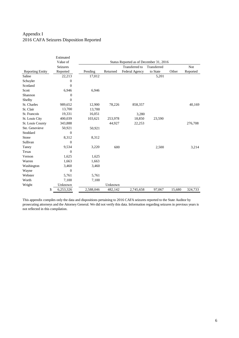#### Appendix I 2016 CAFA Seizures Disposition Reported

|                         | Estimated        |           |          |                                         |             |        |            |
|-------------------------|------------------|-----------|----------|-----------------------------------------|-------------|--------|------------|
|                         | Value of         |           |          | Status Reported as of December 31, 2016 |             |        |            |
|                         | Seizures         |           |          | Transferred to                          | Transferred |        | <b>Not</b> |
| <b>Reporting Entity</b> | Reported         | Pending   | Returned | Federal Agency                          | to State    | Other  | Reported   |
| Saline                  | 22,213           | 17,012    |          |                                         | 5,201       |        |            |
| Schuyler                | $\boldsymbol{0}$ |           |          |                                         |             |        |            |
| Scotland                | $\overline{0}$   |           |          |                                         |             |        |            |
| Scott                   | 6,946            | 6,946     |          |                                         |             |        |            |
| Shannon                 | $\boldsymbol{0}$ |           |          |                                         |             |        |            |
| Shelby                  | $\overline{0}$   |           |          |                                         |             |        |            |
| St. Charles             | 989,652          | 12,900    | 78,226   | 858,357                                 |             |        | 40,169     |
| St. Clair               | 13,700           | 13,700    |          |                                         |             |        |            |
| St. Francois            | 19,331           | 16,051    |          | 3,280                                   |             |        |            |
| St. Louis City          | 400,039          | 103,621   | 253,978  | 18,850                                  | 23,590      |        |            |
| St. Louis County        | 343,888          |           | 44,927   | 22,253                                  |             |        | 276,708    |
| Ste. Genevieve          | 50,921           | 50,921    |          |                                         |             |        |            |
| Stoddard                | $\overline{0}$   |           |          |                                         |             |        |            |
| Stone                   | 8,312            | 8,312     |          |                                         |             |        |            |
| Sullivan                | $\overline{0}$   |           |          |                                         |             |        |            |
| Taney                   | 9,534            | 3,220     | 600      |                                         | 2,500       |        | 3,214      |
| Texas                   | $\theta$         |           |          |                                         |             |        |            |
| Vernon                  | 1,625            | 1,625     |          |                                         |             |        |            |
| Warren                  | 1,663            | 1,663     |          |                                         |             |        |            |
| Washington              | 3,460            | 3,460     |          |                                         |             |        |            |
| Wayne                   | $\theta$         |           |          |                                         |             |        |            |
| Webster                 | 5,761            | 5,761     |          |                                         |             |        |            |
| Worth                   | 7,100            | 7,100     |          |                                         |             |        |            |
| Wright                  | Unknown          |           | Unknown  |                                         |             |        |            |
|                         | \$<br>6,253,326  | 2,588,046 | 482,142  | 2,745,658                               | 97,067      | 15,680 | 324,733    |

This appendix compiles only the data and dispositions pertaining to 2016 CAFA seizures reported to the State Auditor by prosecuting attorneys and the Attorney General. We did not verify this data. Information regarding seizures in previous years is not reflected in this compilation.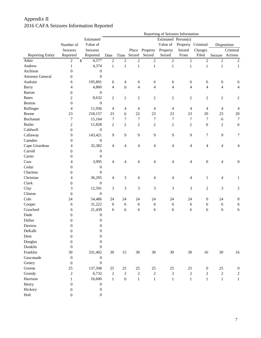#### Appendix II 2016 CAFA Seizures Information Reported

|                                                                                  | Reporting of Seizures Information |                  |                |                  |                         |                  |                          |                |                   |                |                  |
|----------------------------------------------------------------------------------|-----------------------------------|------------------|----------------|------------------|-------------------------|------------------|--------------------------|----------------|-------------------|----------------|------------------|
|                                                                                  |                                   | Estimated        |                |                  |                         |                  | Estimated Person(s)      |                |                   |                |                  |
|                                                                                  | Number of                         | Value of         |                |                  |                         |                  | Value of                 |                | Property Criminal |                | Disposition      |
|                                                                                  | Seizures                          | Seizures         |                |                  | Place                   | Property         | Property                 | Seized         | Charges           |                | Criminal         |
| <b>Reporting Entity</b>                                                          | Reported                          | Reported         | Date           |                  | Time Seized             | Seized           | Seized                   | From           | Filed             |                | Seizure Actions  |
| Adair                                                                            | $\overline{c}$<br>\$              | 4,577            | $\overline{2}$ | $\overline{2}$   | $\overline{2}$          | $\overline{2}$   | $\overline{2}$           | $\overline{2}$ | $\overline{2}$    | $\overline{2}$ | $\sqrt{2}$       |
| Andrew                                                                           | $\mathbf{1}$                      | 4,374            | $\mathbf{1}$   | $\mathbf{1}$     | $\mathbf{1}$            | $\mathbf{1}$     | $\mathbf{1}$             | $\mathbf{1}$   | $\mathbf{1}$      | $\mathbf{1}$   | $\mathbf{1}$     |
| Atchison                                                                         | $\overline{0}$                    | $\boldsymbol{0}$ |                |                  |                         |                  |                          |                |                   |                |                  |
| <b>Attorney General</b>                                                          | $\boldsymbol{0}$                  | $\boldsymbol{0}$ |                |                  |                         |                  |                          |                |                   |                |                  |
| Audrain                                                                          | 6                                 | 195,891          | 6              | 4                | 6                       | 6                | 6                        | 6              | 6                 | 6              | 6                |
| <b>Barry</b>                                                                     | 4                                 | 4,860            | $\overline{4}$ | $\boldsymbol{0}$ | $\overline{\mathbf{4}}$ | $\overline{4}$   | $\overline{\mathcal{L}}$ | 4              | $\overline{4}$    | $\overline{4}$ | 4                |
| <b>Barton</b>                                                                    | $\boldsymbol{0}$                  | $\boldsymbol{0}$ |                |                  |                         |                  |                          |                |                   |                |                  |
| <b>Bates</b>                                                                     | $\mathfrak{2}$                    | 8,632            | $\sqrt{2}$     | $\overline{c}$   | $\sqrt{2}$              | $\sqrt{2}$       | $\sqrt{2}$               | $\sqrt{2}$     | $\sqrt{2}$        | $\sqrt{2}$     | $\boldsymbol{2}$ |
| Benton                                                                           | $\boldsymbol{0}$                  | $\mathbf{0}$     |                |                  |                         |                  |                          |                |                   |                |                  |
| Bollinger                                                                        | 4                                 | 11,936           | 4              | 4                | $\overline{4}$          | $\overline{4}$   | $\overline{4}$           | 4              | $\overline{4}$    | 4              | $\overline{4}$   |
| Boone                                                                            | 23                                | 218,157          | 23             | $\boldsymbol{0}$ | $22\,$                  | 23               | 23                       | 23             | 20                | 23             | $20\,$           |
| Buchanan                                                                         | $\boldsymbol{7}$                  | 15,164           | 7              | 7                | $\tau$                  | $\boldsymbol{7}$ | $\boldsymbol{7}$         | 7              | $\tau$            | 6              | $\boldsymbol{7}$ |
| <b>Butler</b>                                                                    | $\mathfrak{2}$                    | 11,828           | $\overline{c}$ | $\overline{2}$   | $\sqrt{2}$              | $\overline{2}$   | $\sqrt{2}$               | $\sqrt{2}$     | $\boldsymbol{0}$  | $\overline{c}$ | $\boldsymbol{0}$ |
| Caldwell                                                                         | $\boldsymbol{0}$                  | $\boldsymbol{0}$ |                |                  |                         |                  |                          |                |                   |                |                  |
| Callaway                                                                         | 9                                 | 143,421          | 9              | 9                | $\overline{9}$          | 9                | $\mathbf{9}$             | $\overline{9}$ | $\tau$            | $\overline{9}$ | 7                |
| Camden                                                                           | $\boldsymbol{0}$                  | $\boldsymbol{0}$ |                |                  |                         |                  |                          |                |                   |                |                  |
| Cape Girardeau                                                                   | 4                                 | 32,382           | $\overline{4}$ | 4                | 4                       | $\overline{4}$   | $\overline{4}$           | 4              | 4                 | 4              | 4                |
| Carroll                                                                          | $\overline{0}$                    | $\boldsymbol{0}$ |                |                  |                         |                  |                          |                |                   |                |                  |
| Carter                                                                           | $\boldsymbol{0}$                  | $\boldsymbol{0}$ |                |                  |                         |                  |                          |                |                   |                |                  |
| Cass                                                                             | 4                                 | 3,995            | $\overline{4}$ | 4                | 4                       | $\overline{4}$   | 4                        | $\overline{4}$ | $\boldsymbol{0}$  | $\overline{4}$ | $\boldsymbol{0}$ |
| Cedar                                                                            | $\overline{0}$                    | $\boldsymbol{0}$ |                |                  |                         |                  |                          |                |                   |                |                  |
| Chariton                                                                         | 0                                 | $\theta$         |                |                  |                         |                  |                          |                |                   |                |                  |
| Christian                                                                        | 4                                 | 36,295           | 4              | 3                | $\overline{4}$          | $\overline{4}$   | $\overline{4}$           | 4              | $\mathbf{1}$      | 4              | 1                |
| Clark                                                                            | $\boldsymbol{0}$                  | $\mathbf{0}$     |                |                  |                         |                  |                          |                |                   |                |                  |
| Clay                                                                             | 3                                 | 12,591           | 3              | 3                | 3                       | 3                | 3                        | 3              | $\overline{c}$    | 3              | $\mathbf{2}$     |
| Clinton                                                                          | $\boldsymbol{0}$                  | $\mathbf{0}$     |                |                  |                         |                  |                          |                |                   |                |                  |
| Cole                                                                             | 24                                | 54,486           | 24             | 24               | 24                      | 24               | 24                       | 24             | $\boldsymbol{0}$  | 24             | $\boldsymbol{0}$ |
| Cooper                                                                           | 6                                 | 31,222           | 6              | 6                | 6                       | 6                | 6                        | 6              | 6                 | $\sqrt{6}$     |                  |
| Crawford                                                                         | 6                                 | 21,439           | 6              |                  | 6                       | 6                | 6                        | 6              | 6                 |                | 6                |
|                                                                                  |                                   |                  |                | $\boldsymbol{0}$ |                         |                  |                          |                |                   | 6              | 6                |
| Dade                                                                             | 0                                 | $\boldsymbol{0}$ |                |                  |                         |                  |                          |                |                   |                |                  |
| Dallas                                                                           | $\boldsymbol{0}$                  | $\boldsymbol{0}$ |                |                  |                         |                  |                          |                |                   |                |                  |
| Daviess                                                                          | $\boldsymbol{0}$                  | $\boldsymbol{0}$ |                |                  |                         |                  |                          |                |                   |                |                  |
| DeKalb                                                                           | $\boldsymbol{0}$                  | $\boldsymbol{0}$ |                |                  |                         |                  |                          |                |                   |                |                  |
| Dent                                                                             | $\overline{0}$                    | $\overline{0}$   |                |                  |                         |                  |                          |                |                   |                |                  |
| Douglas                                                                          | $\boldsymbol{0}$                  | $\boldsymbol{0}$ |                |                  |                         |                  |                          |                |                   |                |                  |
| Dunklin                                                                          | $\boldsymbol{0}$                  | $\boldsymbol{0}$ |                |                  |                         |                  |                          |                |                   |                |                  |
| Franklin                                                                         | 30                                | 331,402          | $30\,$         | 15               | 30                      | 30               | 30                       | $30\,$         | 16                | 30             | 16               |
| Gasconade                                                                        | $\boldsymbol{0}$                  | $\boldsymbol{0}$ |                |                  |                         |                  |                          |                |                   |                |                  |
| Gentry                                                                           | $\boldsymbol{0}$                  | $\boldsymbol{0}$ |                |                  |                         |                  |                          |                |                   |                |                  |
| Greene                                                                           | 25                                | 137,508          | 25             | 25               | 25                      | 25               | $25\,$                   | $25\,$         | $\boldsymbol{0}$  | 25             | $\boldsymbol{0}$ |
| Grundy                                                                           | $\overline{2}$                    | 6,732            | $\overline{c}$ | $\overline{2}$   | $\sqrt{2}$              | $\overline{2}$   | $\mathbf{2}$             | $\sqrt{2}$     | $\overline{2}$    | $\sqrt{2}$     | 2                |
| Harrison                                                                         | $\mathbf{1}$                      | 16,600           | $\mathbf{1}$   | $\boldsymbol{0}$ | $\mathbf{1}$            | $\mathbf{1}$     | $\mathbf{1}$             | $\mathbf{1}$   | $\mathbf{1}$      | $\mathbf{1}$   | $\mathbf{1}$     |
| Henry                                                                            | $\boldsymbol{0}$                  | $\boldsymbol{0}$ |                |                  |                         |                  |                          |                |                   |                |                  |
| Hickory                                                                          | $\boldsymbol{0}$                  | $\boldsymbol{0}$ |                |                  |                         |                  |                          |                |                   |                |                  |
| $\operatorname*{Holt}% \left( \mathcal{M}_{0}\right) \equiv\operatorname*{Holt}$ | $\boldsymbol{0}$                  | $\boldsymbol{0}$ |                |                  |                         |                  |                          |                |                   |                |                  |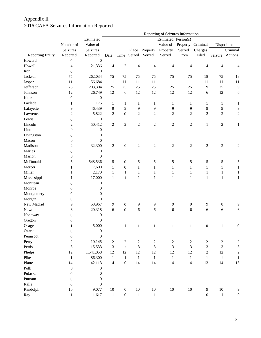#### Appendix II 2016 CAFA Seizures Information Reported

|                         | Reporting of Seizures Information |                  |                |                  |                |                |                     |                  |                   |                |                  |
|-------------------------|-----------------------------------|------------------|----------------|------------------|----------------|----------------|---------------------|------------------|-------------------|----------------|------------------|
|                         |                                   | Estimated        |                |                  |                |                | Estimated Person(s) |                  |                   |                |                  |
|                         | Number of                         | Value of         |                |                  |                |                | Value of            |                  | Property Criminal |                | Disposition      |
|                         | Seizures                          | Seizures         |                |                  | Place          | Property       | Property            | Seized           | Charges           |                | Criminal         |
| <b>Reporting Entity</b> | Reported                          | Reported         | Date           |                  | Time Seized    | Seized         | Seized              | From             | Filed             | Seizure        | Actions          |
| Howard                  | 0                                 | $\mathbf{0}$     |                |                  |                |                |                     |                  |                   |                |                  |
| Howell                  | $\overline{4}$                    | 21,336           | $\overline{4}$ | $\overline{2}$   | $\overline{4}$ | $\overline{4}$ | $\overline{4}$      | $\overline{4}$   | $\overline{4}$    | $\overline{4}$ | 4                |
| Iron                    | $\boldsymbol{0}$                  | $\boldsymbol{0}$ |                |                  |                |                |                     |                  |                   |                |                  |
| Jackson                 | 75                                | 262,034          | 75             | 75               | 75             | 75             | 75                  | 75               | 18                | 75             | 18               |
| Jasper                  | 11                                | 56,684           | 11             | 11               | 11             | 11             | 11                  | 11               | 11                | 11             | 11               |
| Jefferson               | 25                                | 203,304          | 25             | 25               | 25             | 25             | 25                  | 25               | 9                 | 25             | $\overline{9}$   |
| Johnson                 | 12                                | 26,749           | 12             | 6                | 12             | 12             | 12                  | 12               | 6                 | 12             | 6                |
| Knox                    | $\boldsymbol{0}$                  | $\boldsymbol{0}$ |                |                  |                |                |                     |                  |                   |                |                  |
| Laclede                 | 1                                 | 175              | 1              | 1                | $\mathbf{1}$   | $\mathbf{1}$   | $\mathbf{1}$        | 1                | $\mathbf{1}$      | $\mathbf{1}$   | 1                |
| Lafayette               | 9                                 | 46,439           | 9              | 9                | $\mathbf{9}$   | 9              | 9                   | 9                | $\mathbf{9}$      | 9              | 9                |
| Lawrence                | $\sqrt{2}$                        | 5,822            | $\mathbf{2}$   | $\boldsymbol{0}$ | $\sqrt{2}$     | $\sqrt{2}$     | $\overline{2}$      | $\overline{c}$   | $\sqrt{2}$        | $\sqrt{2}$     | $\sqrt{2}$       |
| Lewis                   | $\boldsymbol{0}$                  | $\boldsymbol{0}$ |                |                  |                |                |                     |                  |                   |                |                  |
| Lincoln                 | $\boldsymbol{2}$                  | 50,412           | $\sqrt{2}$     | $\mathbf{2}$     | $\sqrt{2}$     | $\sqrt{2}$     | $\sqrt{2}$          | $\boldsymbol{2}$ | $\mathbf{1}$      | $\sqrt{2}$     | $\mathbf{1}$     |
| Linn                    | $\boldsymbol{0}$                  | $\boldsymbol{0}$ |                |                  |                |                |                     |                  |                   |                |                  |
| Livingston              | $\boldsymbol{0}$                  | $\boldsymbol{0}$ |                |                  |                |                |                     |                  |                   |                |                  |
| Macon                   | $\boldsymbol{0}$                  | $\mathbf{0}$     |                |                  |                |                |                     |                  |                   |                |                  |
| Madison                 | $\sqrt{2}$                        | 32,300           | $\overline{2}$ | $\boldsymbol{0}$ | $\overline{2}$ | $\sqrt{2}$     | $\overline{2}$      | $\overline{2}$   | $\sqrt{2}$        | $\sqrt{2}$     | $\boldsymbol{2}$ |
| Maries                  | $\boldsymbol{0}$                  | $\boldsymbol{0}$ |                |                  |                |                |                     |                  |                   |                |                  |
| Marion                  | $\boldsymbol{0}$                  | $\boldsymbol{0}$ |                |                  |                |                |                     |                  |                   |                |                  |
| McDonald                | 5                                 | 548,536          | 5              | $\boldsymbol{0}$ | 5              | 5              | 5                   | 5                | 5                 | 5              | 5                |
| Mercer                  | 1                                 | 7,600            | $\mathbf{1}$   | $\boldsymbol{0}$ | $\mathbf{1}$   | $\mathbf{1}$   | $\mathbf{1}$        | $\mathbf{1}$     | $\mathbf{1}$      | $\mathbf{1}$   | 1                |
| Miller                  | 1                                 | 2,170            | 1              | $\mathbf{1}$     | $\mathbf{1}$   | $\mathbf{1}$   | $\mathbf{1}$        | $\mathbf{1}$     | $\mathbf{1}$      | $\mathbf{1}$   | $\mathbf{1}$     |
| Mississippi             | 1                                 | 17,000           | $\mathbf{1}$   | $\mathbf{1}$     | $\mathbf{1}$   | $\mathbf{1}$   | $\mathbf{1}$        | $\mathbf{1}$     | $\mathbf{1}$      | $\mathbf{1}$   | 1                |
| Moniteau                | $\boldsymbol{0}$                  | $\boldsymbol{0}$ |                |                  |                |                |                     |                  |                   |                |                  |
| Monroe                  | $\boldsymbol{0}$                  | $\boldsymbol{0}$ |                |                  |                |                |                     |                  |                   |                |                  |
| Montgomery              | 0                                 | $\boldsymbol{0}$ |                |                  |                |                |                     |                  |                   |                |                  |
| Morgan                  | 0                                 | $\boldsymbol{0}$ |                |                  |                |                |                     |                  |                   |                |                  |
| New Madrid              | 9                                 | 53,967           | 9              | $\boldsymbol{0}$ | $\overline{9}$ | $\overline{9}$ | $\overline{9}$      | 9                | $\overline{9}$    | $8\,$          | 9                |
| Newton                  | 6                                 | 20,318           | 6              |                  | 6              | 6              | 6                   | $\sqrt{6}$       | 6                 | 6              | $\sqrt{6}$       |
|                         |                                   |                  |                | $\boldsymbol{0}$ |                |                |                     |                  |                   |                |                  |
| Nodaway                 | 0                                 | $\boldsymbol{0}$ |                |                  |                |                |                     |                  |                   |                |                  |
| Oregon                  | $\boldsymbol{0}$                  | $\boldsymbol{0}$ |                |                  |                |                |                     |                  |                   |                |                  |
| Osage                   | 1                                 | 5,000            | 1              | $\,1$            | $\mathbf{1}$   | $\,1$          | $\,1$               | $\mathbf{1}$     | $\boldsymbol{0}$  | $\mathbf{1}$   | $\boldsymbol{0}$ |
| Ozark                   | $\boldsymbol{0}$                  | $\boldsymbol{0}$ |                |                  |                |                |                     |                  |                   |                |                  |
| Pemiscot                | $\boldsymbol{0}$                  | $\boldsymbol{0}$ |                |                  |                |                |                     |                  |                   |                |                  |
| Perry                   | $\sqrt{2}$                        | 10,145           | $\sqrt{2}$     | $\boldsymbol{2}$ | $\sqrt{2}$     | $\sqrt{2}$     | $\overline{c}$      | $\sqrt{2}$       | $\sqrt{2}$        | $\sqrt{2}$     | $\boldsymbol{2}$ |
| Pettis                  | 3                                 | 15,533           | 3              | $\overline{3}$   | $\mathfrak{Z}$ | 3              | 3                   | 3                | 3                 | 3              | 3                |
| Phelps                  | 12                                | 1,541,058        | 12             | 12               | $12\,$         | 12             | 12                  | $12\,$           | $\sqrt{2}$        | 12             | $\sqrt{2}$       |
| Pike                    | $\mathbf{1}$                      | 86,300           | $\mathbf{1}$   | $\mathbf{1}$     | $\mathbf{1}$   | $1\,$          | $\mathbf{1}$        | $\mathbf{1}$     | $\mathbf{1}$      | $\mathbf{1}$   | $\mathbf{1}$     |
| Platte                  | 14                                | 42,113           | 14             | $\boldsymbol{0}$ | 14             | 14             | 14                  | 14               | 13                | 14             | 13               |
| $\operatorname{Polk}$   | $\boldsymbol{0}$                  | $\boldsymbol{0}$ |                |                  |                |                |                     |                  |                   |                |                  |
| Pulaski                 | $\boldsymbol{0}$                  | $\boldsymbol{0}$ |                |                  |                |                |                     |                  |                   |                |                  |
| Putnam                  | $\boldsymbol{0}$                  | $\boldsymbol{0}$ |                |                  |                |                |                     |                  |                   |                |                  |
| Ralls                   | $\boldsymbol{0}$                  | $\mathbf{0}$     |                |                  |                |                |                     |                  |                   |                |                  |
| Randolph                | $10\,$                            | 9,077            | $10\,$         | $\boldsymbol{0}$ | $10\,$         | $10\,$         | $10\,$              | $10\,$           | 9                 | $10\,$         | 9                |
| Ray                     | $1\,$                             | 1,617            | $\mathbf{1}$   | $\boldsymbol{0}$ | $\,1\,$        | $\mathbf 1$    | $1\,$               | $\mathbf{1}$     | $\boldsymbol{0}$  | $1\,$          | $\boldsymbol{0}$ |